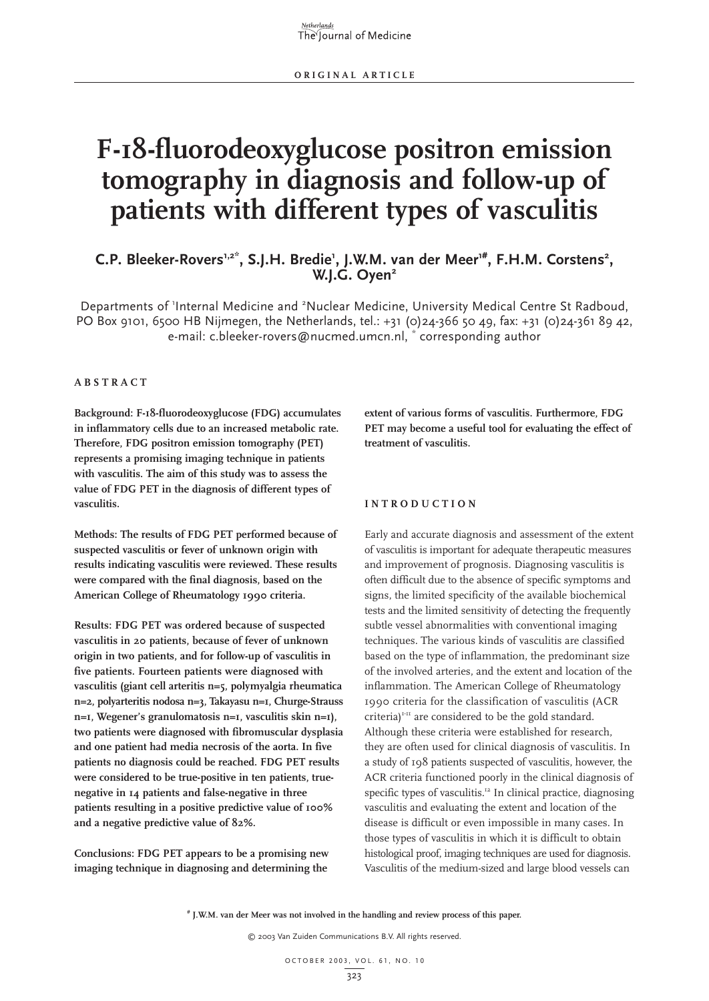## **F-18-fluorodeoxyglucose positron emission tomography in diagnosis and follow-up of patients with different types of vasculitis**

# C.P. Bleeker-Rovers<sup>1,2\*</sup>, S.J.H. Bredie', J.W.M. van der Meer'<sup>#</sup>, F.H.M. Corstens<sup>2</sup>,<br>W.J.G. Oyen<sup>2</sup>

Departments of 'Internal Medicine and <sup>2</sup>Nuclear Medicine, University Medical Centre St Radboud, PO Box 9101, 6500 HB Nijmegen, the Netherlands, tel.: +31 (0)24-366 50 49, fax: +31 (0)24-361 89 42, e-mail: c.bleeker-rovers@nucmed.umcn.nl, \* corresponding author

## **ABSTRACT**

**Background: F-18-fluorodeoxyglucose (FDG) accumulates in inflammatory cells due to an increased metabolic rate. Therefore, FDG positron emission tomography (PET) represents a promising imaging technique in patients with vasculitis. The aim of this study was to assess the value of FDG PET in the diagnosis of different types of vasculitis.**

**Methods: The results of FDG PET performed because of suspected vasculitis or fever of unknown origin with results indicating vasculitis were reviewed. These results were compared with the final diagnosis, based on the American College of Rheumatology 1990 criteria.**

**Results: FDG PET was ordered because of suspected vasculitis in 20 patients, because of fever of unknown origin in two patients, and for follow-up of vasculitis in five patients. Fourteen patients were diagnosed with vasculitis (giant cell arteritis n=5, polymyalgia rheumatica n=2, polyarteritis nodosa n=3, Takayasu n=1, Churge-Strauss n=1, Wegener's granulomatosis n=1, vasculitis skin n=1), two patients were diagnosed with fibromuscular dysplasia and one patient had media necrosis of the aorta. In five patients no diagnosis could be reached. FDG PET results were considered to be true-positive in ten patients, truenegative in 14 patients and false-negative in three patients resulting in a positive predictive value of 100% and a negative predictive value of 82%.**

**Conclusions: FDG PET appears to be a promising new imaging technique in diagnosing and determining the**

**extent of various forms of vasculitis. Furthermore, FDG PET may become a useful tool for evaluating the effect of treatment of vasculitis.** 

## **INTRODUCTION**

Early and accurate diagnosis and assessment of the extent of vasculitis is important for adequate therapeutic measures and improvement of prognosis. Diagnosing vasculitis is often difficult due to the absence of specific symptoms and signs, the limited specificity of the available biochemical tests and the limited sensitivity of detecting the frequently subtle vessel abnormalities with conventional imaging techniques. The various kinds of vasculitis are classified based on the type of inflammation, the predominant size of the involved arteries, and the extent and location of the inflammation. The American College of Rheumatology 1990 criteria for the classification of vasculitis (ACR criteria)<sup>1-11</sup> are considered to be the gold standard. Although these criteria were established for research, they are often used for clinical diagnosis of vasculitis. In a study of 198 patients suspected of vasculitis, however, the ACR criteria functioned poorly in the clinical diagnosis of specific types of vasculitis.<sup>12</sup> In clinical practice, diagnosing vasculitis and evaluating the extent and location of the disease is difficult or even impossible in many cases. In those types of vasculitis in which it is difficult to obtain histological proof, imaging techniques are used for diagnosis. Vasculitis of the medium-sized and large blood vessels can

© 2003 Van Zuiden Communications B.V. All rights reserved.

**<sup>#</sup> J.W.M. van der Meer was not involved in the handling and review process of this paper.**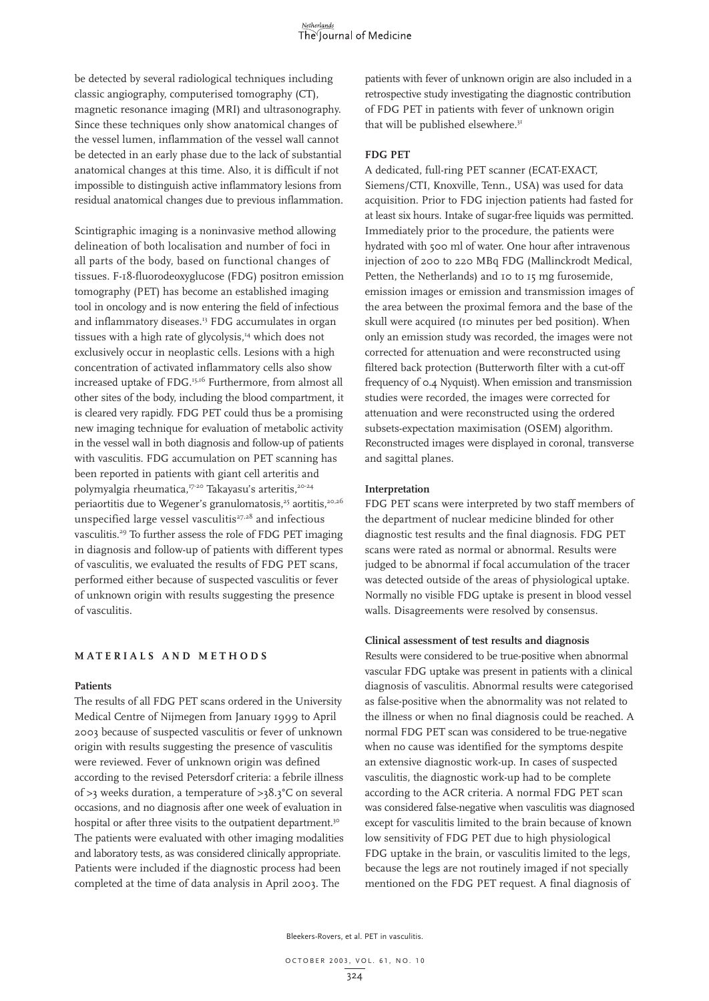be detected by several radiological techniques including classic angiography, computerised tomography (CT), magnetic resonance imaging (MRI) and ultrasonography. Since these techniques only show anatomical changes of the vessel lumen, inflammation of the vessel wall cannot be detected in an early phase due to the lack of substantial anatomical changes at this time. Also, it is difficult if not impossible to distinguish active inflammatory lesions from residual anatomical changes due to previous inflammation.

Scintigraphic imaging is a noninvasive method allowing delineation of both localisation and number of foci in all parts of the body, based on functional changes of tissues. F-18-fluorodeoxyglucose (FDG) positron emission tomography (PET) has become an established imaging tool in oncology and is now entering the field of infectious and inflammatory diseases.<sup>13</sup> FDG accumulates in organ tissues with a high rate of glycolysis,<sup>14</sup> which does not exclusively occur in neoplastic cells. Lesions with a high concentration of activated inflammatory cells also show increased uptake of FDG.<sup>15,16</sup> Furthermore, from almost all other sites of the body, including the blood compartment, it is cleared very rapidly. FDG PET could thus be a promising new imaging technique for evaluation of metabolic activity in the vessel wall in both diagnosis and follow-up of patients with vasculitis. FDG accumulation on PET scanning has been reported in patients with giant cell arteritis and polymyalgia rheumatica,<sup>17-20</sup> Takayasu's arteritis,<sup>20-24</sup> periaortitis due to Wegener's granulomatosis,<sup>25</sup> aortitis,<sup>20,26</sup> unspecified large vessel vasculitis $27,28$  and infectious vasculitis.<sup>29</sup> To further assess the role of FDG PET imaging in diagnosis and follow-up of patients with different types of vasculitis, we evaluated the results of FDG PET scans, performed either because of suspected vasculitis or fever of unknown origin with results suggesting the presence of vasculitis.

## **MATERIALS AND METHODS**

#### **Patients**

The results of all FDG PET scans ordered in the University Medical Centre of Nijmegen from January 1999 to April 2003 because of suspected vasculitis or fever of unknown origin with results suggesting the presence of vasculitis were reviewed. Fever of unknown origin was defined according to the revised Petersdorf criteria: a febrile illness of >3 weeks duration, a temperature of >38.3°C on several occasions, and no diagnosis after one week of evaluation in hospital or after three visits to the outpatient department.<sup>30</sup> The patients were evaluated with other imaging modalities and laboratory tests, as was considered clinically appropriate. Patients were included if the diagnostic process had been completed at the time of data analysis in April 2003. The

patients with fever of unknown origin are also included in a retrospective study investigating the diagnostic contribution of FDG PET in patients with fever of unknown origin that will be published elsewhere.<sup>31</sup>

## **FDG PET**

A dedicated, full-ring PET scanner (ECAT-EXACT, Siemens/CTI, Knoxville, Tenn., USA) was used for data acquisition. Prior to FDG injection patients had fasted for at least six hours. Intake of sugar-free liquids was permitted. Immediately prior to the procedure, the patients were hydrated with 500 ml of water. One hour after intravenous injection of 200 to 220 MBq FDG (Mallinckrodt Medical, Petten, the Netherlands) and 10 to 15 mg furosemide, emission images or emission and transmission images of the area between the proximal femora and the base of the skull were acquired (10 minutes per bed position). When only an emission study was recorded, the images were not corrected for attenuation and were reconstructed using filtered back protection (Butterworth filter with a cut-off frequency of 0.4 Nyquist). When emission and transmission studies were recorded, the images were corrected for attenuation and were reconstructed using the ordered subsets-expectation maximisation (OSEM) algorithm. Reconstructed images were displayed in coronal, transverse and sagittal planes.

#### **Interpretation**

FDG PET scans were interpreted by two staff members of the department of nuclear medicine blinded for other diagnostic test results and the final diagnosis. FDG PET scans were rated as normal or abnormal. Results were judged to be abnormal if focal accumulation of the tracer was detected outside of the areas of physiological uptake. Normally no visible FDG uptake is present in blood vessel walls. Disagreements were resolved by consensus.

#### **Clinical assessment of test results and diagnosis**

Results were considered to be true-positive when abnormal vascular FDG uptake was present in patients with a clinical diagnosis of vasculitis. Abnormal results were categorised as false-positive when the abnormality was not related to the illness or when no final diagnosis could be reached. A normal FDG PET scan was considered to be true-negative when no cause was identified for the symptoms despite an extensive diagnostic work-up. In cases of suspected vasculitis, the diagnostic work-up had to be complete according to the ACR criteria. A normal FDG PET scan was considered false-negative when vasculitis was diagnosed except for vasculitis limited to the brain because of known low sensitivity of FDG PET due to high physiological FDG uptake in the brain, or vasculitis limited to the legs, because the legs are not routinely imaged if not specially mentioned on the FDG PET request. A final diagnosis of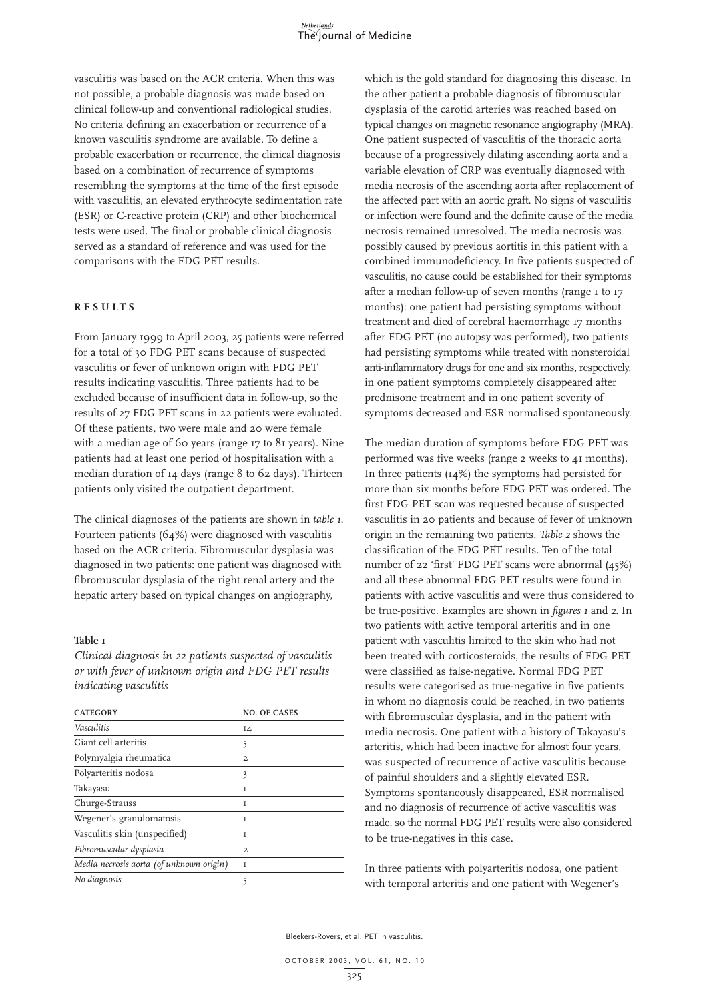vasculitis was based on the ACR criteria. When this was not possible, a probable diagnosis was made based on clinical follow-up and conventional radiological studies. No criteria defining an exacerbation or recurrence of a known vasculitis syndrome are available. To define a probable exacerbation or recurrence, the clinical diagnosis based on a combination of recurrence of symptoms resembling the symptoms at the time of the first episode with vasculitis, an elevated erythrocyte sedimentation rate (ESR) or C-reactive protein (CRP) and other biochemical tests were used. The final or probable clinical diagnosis served as a standard of reference and was used for the comparisons with the FDG PET results.

## **RESULTS**

From January 1999 to April 2003, 25 patients were referred for a total of 30 FDG PET scans because of suspected vasculitis or fever of unknown origin with FDG PET results indicating vasculitis. Three patients had to be excluded because of insufficient data in follow-up, so the results of 27 FDG PET scans in 22 patients were evaluated. Of these patients, two were male and 20 were female with a median age of 60 years (range 17 to 81 years). Nine patients had at least one period of hospitalisation with a median duration of 14 days (range 8 to 62 days). Thirteen patients only visited the outpatient department.

The clinical diagnoses of the patients are shown in *table 1*. Fourteen patients (64%) were diagnosed with vasculitis based on the ACR criteria. Fibromuscular dysplasia was diagnosed in two patients: one patient was diagnosed with fibromuscular dysplasia of the right renal artery and the hepatic artery based on typical changes on angiography,

#### **Table 1**

*Clinical diagnosis in 22 patients suspected of vasculitis or with fever of unknown origin and FDG PET results indicating vasculitis*

| <b>CATEGORY</b>                          | <b>NO. OF CASES</b> |  |  |
|------------------------------------------|---------------------|--|--|
| Vasculitis                               | 14                  |  |  |
| Giant cell arteritis                     | 5                   |  |  |
| Polymyalgia rheumatica                   | $\overline{a}$      |  |  |
| Polyarteritis nodosa                     | 3                   |  |  |
| Takayasu                                 | T                   |  |  |
| Churge-Strauss                           | T                   |  |  |
| Wegener's granulomatosis                 | T                   |  |  |
| Vasculitis skin (unspecified)            | T                   |  |  |
| Fibromuscular dysplasia                  | $\overline{a}$      |  |  |
| Media necrosis aorta (of unknown origin) | I                   |  |  |
| No diagnosis                             |                     |  |  |
|                                          |                     |  |  |

which is the gold standard for diagnosing this disease. In the other patient a probable diagnosis of fibromuscular dysplasia of the carotid arteries was reached based on typical changes on magnetic resonance angiography (MRA). One patient suspected of vasculitis of the thoracic aorta because of a progressively dilating ascending aorta and a variable elevation of CRP was eventually diagnosed with media necrosis of the ascending aorta after replacement of the affected part with an aortic graft. No signs of vasculitis or infection were found and the definite cause of the media necrosis remained unresolved. The media necrosis was possibly caused by previous aortitis in this patient with a combined immunodeficiency. In five patients suspected of vasculitis, no cause could be established for their symptoms after a median follow-up of seven months (range 1 to 17 months): one patient had persisting symptoms without treatment and died of cerebral haemorrhage 17 months after FDG PET (no autopsy was performed), two patients had persisting symptoms while treated with nonsteroidal anti-inflammatory drugs for one and six months, respectively, in one patient symptoms completely disappeared after prednisone treatment and in one patient severity of symptoms decreased and ESR normalised spontaneously.

The median duration of symptoms before FDG PET was performed was five weeks (range 2 weeks to 41 months). In three patients (14%) the symptoms had persisted for more than six months before FDG PET was ordered. The first FDG PET scan was requested because of suspected vasculitis in 20 patients and because of fever of unknown origin in the remaining two patients. *Table 2* shows the classification of the FDG PET results. Ten of the total number of 22 'first' FDG PET scans were abnormal (45%) and all these abnormal FDG PET results were found in patients with active vasculitis and were thus considered to be true-positive. Examples are shown in *figures 1* and *2*. In two patients with active temporal arteritis and in one patient with vasculitis limited to the skin who had not been treated with corticosteroids, the results of FDG PET were classified as false-negative. Normal FDG PET results were categorised as true-negative in five patients in whom no diagnosis could be reached, in two patients with fibromuscular dysplasia, and in the patient with media necrosis. One patient with a history of Takayasu's arteritis, which had been inactive for almost four years, was suspected of recurrence of active vasculitis because of painful shoulders and a slightly elevated ESR. Symptoms spontaneously disappeared, ESR normalised and no diagnosis of recurrence of active vasculitis was made, so the normal FDG PET results were also considered to be true-negatives in this case.

In three patients with polyarteritis nodosa, one patient with temporal arteritis and one patient with Wegener's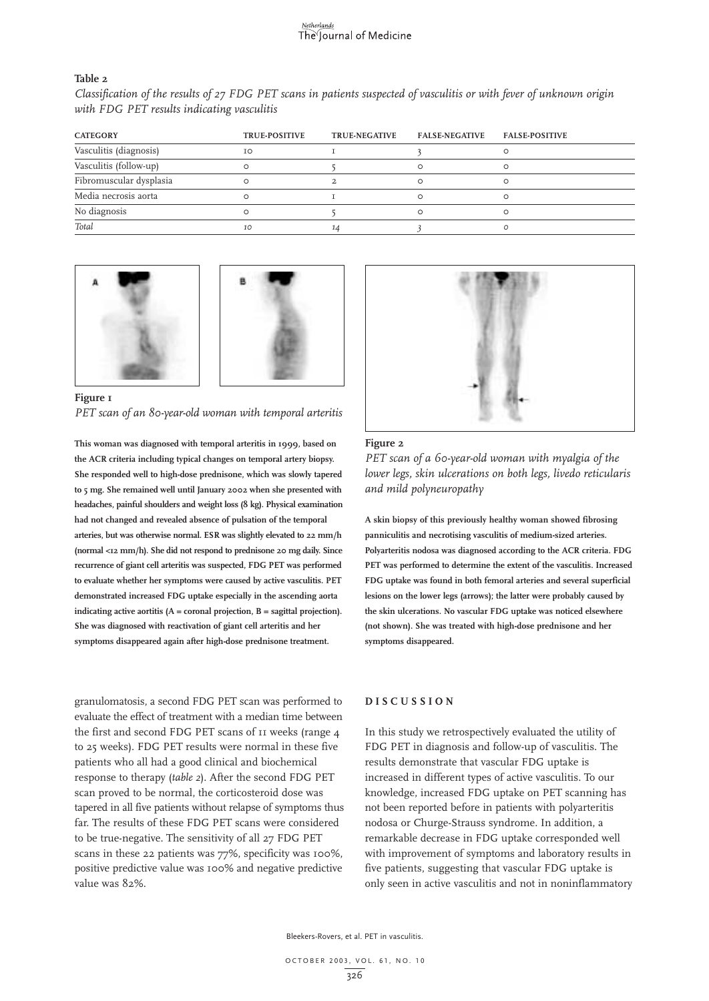#### **Table 2**

*Classification of the results of 27 FDG PET scans in patients suspected of vasculitis or with fever of unknown origin with FDG PET results indicating vasculitis*

| <b>CATEGORY</b>         | <b>TRUE-POSITIVE</b> | <b>TRUE-NEGATIVE</b> | <b>FALSE-NEGATIVE</b> | <b>FALSE-POSITIVE</b> |
|-------------------------|----------------------|----------------------|-----------------------|-----------------------|
| Vasculitis (diagnosis)  | ΙO                   |                      |                       |                       |
| Vasculitis (follow-up)  |                      |                      |                       |                       |
| Fibromuscular dysplasia |                      |                      |                       |                       |
| Media necrosis aorta    |                      |                      |                       |                       |
| No diagnosis            |                      |                      |                       |                       |
| Total                   | 10                   |                      |                       |                       |





#### **Figure 1**

*PET scan of an 80-year-old woman with temporal arteritis*

**This woman was diagnosed with temporal arteritis in 1999, based on the ACR criteria including typical changes on temporal artery biopsy. She responded well to high-dose prednisone, which was slowly tapered to 5 mg. She remained well until January 2002 when she presented with headaches, painful shoulders and weight loss (8 kg). Physical examination had not changed and revealed absence of pulsation of the temporal arteries, but was otherwise normal. ESR was slightly elevated to 22 mm/h (normal <12 mm/h). She did not respond to prednisone 20 mg daily. Since recurrence of giant cell arteritis was suspected, FDG PET was performed to evaluate whether her symptoms were caused by active vasculitis. PET demonstrated increased FDG uptake especially in the ascending aorta indicating active aortitis (A = coronal projection, B = sagittal projection). She was diagnosed with reactivation of giant cell arteritis and her symptoms disappeared again after high-dose prednisone treatment.**

granulomatosis, a second FDG PET scan was performed to evaluate the effect of treatment with a median time between the first and second FDG PET scans of 11 weeks (range 4 to 25 weeks). FDG PET results were normal in these five patients who all had a good clinical and biochemical response to therapy (*table 2*). After the second FDG PET scan proved to be normal, the corticosteroid dose was tapered in all five patients without relapse of symptoms thus far. The results of these FDG PET scans were considered to be true-negative. The sensitivity of all 27 FDG PET scans in these 22 patients was 77%, specificity was 100%, positive predictive value was 100% and negative predictive value was 82%.



### **Figure 2**

*PET scan of a 60-year-old woman with myalgia of the lower legs, skin ulcerations on both legs, livedo reticularis and mild polyneuropathy*

**A skin biopsy of this previously healthy woman showed fibrosing panniculitis and necrotising vasculitis of medium-sized arteries. Polyarteritis nodosa was diagnosed according to the ACR criteria. FDG PET was performed to determine the extent of the vasculitis. Increased FDG uptake was found in both femoral arteries and several superficial lesions on the lower legs (arrows); the latter were probably caused by the skin ulcerations. No vascular FDG uptake was noticed elsewhere (not shown). She was treated with high-dose prednisone and her symptoms disappeared.**

#### **DISCUSSION**

In this study we retrospectively evaluated the utility of FDG PET in diagnosis and follow-up of vasculitis. The results demonstrate that vascular FDG uptake is increased in different types of active vasculitis. To our knowledge, increased FDG uptake on PET scanning has not been reported before in patients with polyarteritis nodosa or Churge-Strauss syndrome. In addition, a remarkable decrease in FDG uptake corresponded well with improvement of symptoms and laboratory results in five patients, suggesting that vascular FDG uptake is only seen in active vasculitis and not in noninflammatory

Bleekers-Rovers, et al. PET in vasculitis.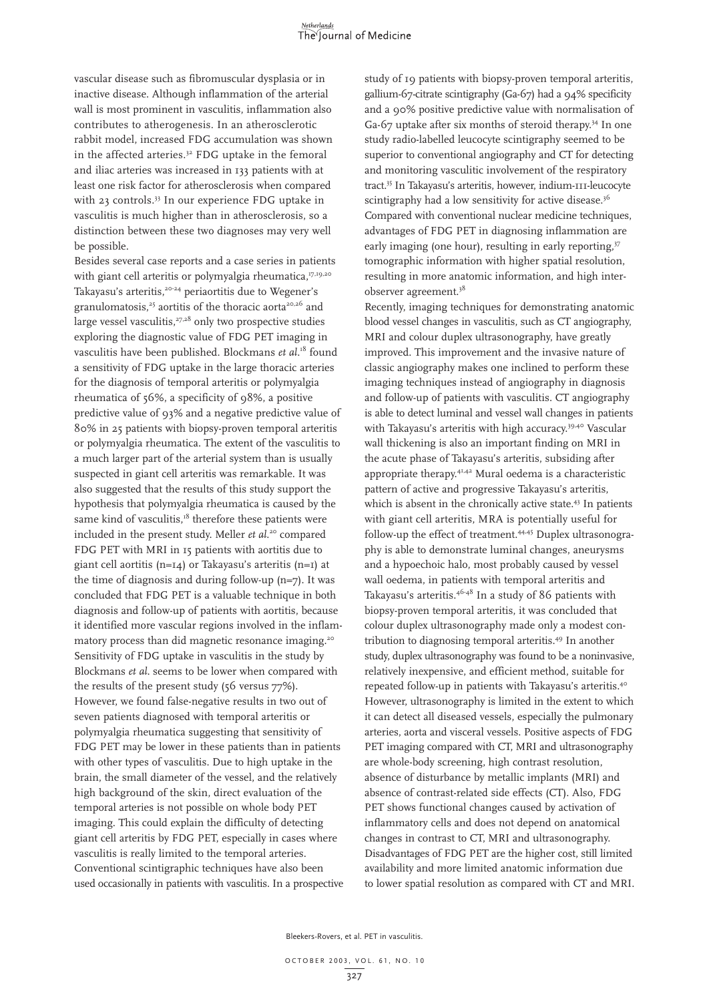vascular disease such as fibromuscular dysplasia or in inactive disease. Although inflammation of the arterial wall is most prominent in vasculitis, inflammation also contributes to atherogenesis. In an atherosclerotic rabbit model, increased FDG accumulation was shown in the affected arteries.<sup>32</sup> FDG uptake in the femoral and iliac arteries was increased in 133 patients with at least one risk factor for atherosclerosis when compared with 23 controls.<sup>33</sup> In our experience FDG uptake in vasculitis is much higher than in atherosclerosis, so a distinction between these two diagnoses may very well be possible.

Besides several case reports and a case series in patients with giant cell arteritis or polymyalgia rheumatica,<sup>17,19,20</sup> Takayasu's arteritis,<sup>20-24</sup> periaortitis due to Wegener's granulomatosis,<sup>25</sup> aortitis of the thoracic aorta<sup>20,26</sup> and large vessel vasculitis, $27,28$  only two prospective studies exploring the diagnostic value of FDG PET imaging in vasculitis have been published. Blockmans *et al*. <sup>18</sup> found a sensitivity of FDG uptake in the large thoracic arteries for the diagnosis of temporal arteritis or polymyalgia rheumatica of 56%, a specificity of 98%, a positive predictive value of 93% and a negative predictive value of 80% in 25 patients with biopsy-proven temporal arteritis or polymyalgia rheumatica. The extent of the vasculitis to a much larger part of the arterial system than is usually suspected in giant cell arteritis was remarkable. It was also suggested that the results of this study support the hypothesis that polymyalgia rheumatica is caused by the same kind of vasculitis,<sup>18</sup> therefore these patients were included in the present study. Meller *et al*. <sup>20</sup> compared FDG PET with MRI in 15 patients with aortitis due to giant cell aortitis (n=14) or Takayasu's arteritis (n=1) at the time of diagnosis and during follow-up  $(n=7)$ . It was concluded that FDG PET is a valuable technique in both diagnosis and follow-up of patients with aortitis, because it identified more vascular regions involved in the inflammatory process than did magnetic resonance imaging.<sup>20</sup> Sensitivity of FDG uptake in vasculitis in the study by Blockmans *et al*. seems to be lower when compared with the results of the present study (56 versus 77%). However, we found false-negative results in two out of seven patients diagnosed with temporal arteritis or polymyalgia rheumatica suggesting that sensitivity of FDG PET may be lower in these patients than in patients with other types of vasculitis. Due to high uptake in the brain, the small diameter of the vessel, and the relatively high background of the skin, direct evaluation of the temporal arteries is not possible on whole body PET imaging. This could explain the difficulty of detecting giant cell arteritis by FDG PET, especially in cases where vasculitis is really limited to the temporal arteries. Conventional scintigraphic techniques have also been used occasionally in patients with vasculitis. In a prospective study of 19 patients with biopsy-proven temporal arteritis, gallium-67-citrate scintigraphy (Ga-67) had a 94% specificity and a 90% positive predictive value with normalisation of Ga-67 uptake after six months of steroid therapy.<sup>34</sup> In one study radio-labelled leucocyte scintigraphy seemed to be superior to conventional angiography and CT for detecting and monitoring vasculitic involvement of the respiratory tract.35 In Takayasu's arteritis, however, indium-111-leucocyte scintigraphy had a low sensitivity for active disease.<sup>36</sup> Compared with conventional nuclear medicine techniques, advantages of FDG PET in diagnosing inflammation are early imaging (one hour), resulting in early reporting,<sup>37</sup> tomographic information with higher spatial resolution, resulting in more anatomic information, and high interobserver agreement.38

Recently, imaging techniques for demonstrating anatomic blood vessel changes in vasculitis, such as CT angiography, MRI and colour duplex ultrasonography, have greatly improved. This improvement and the invasive nature of classic angiography makes one inclined to perform these imaging techniques instead of angiography in diagnosis and follow-up of patients with vasculitis. CT angiography is able to detect luminal and vessel wall changes in patients with Takayasu's arteritis with high accuracy.<sup>39,40</sup> Vascular wall thickening is also an important finding on MRI in the acute phase of Takayasu's arteritis, subsiding after appropriate therapy.41,42 Mural oedema is a characteristic pattern of active and progressive Takayasu's arteritis, which is absent in the chronically active state.<sup>43</sup> In patients with giant cell arteritis, MRA is potentially useful for follow-up the effect of treatment.<sup>44,45</sup> Duplex ultrasonography is able to demonstrate luminal changes, aneurysms and a hypoechoic halo, most probably caused by vessel wall oedema, in patients with temporal arteritis and Takayasu's arteritis.46-48 In a study of 86 patients with biopsy-proven temporal arteritis, it was concluded that colour duplex ultrasonography made only a modest contribution to diagnosing temporal arteritis.49 In another study, duplex ultrasonography was found to be a noninvasive, relatively inexpensive, and efficient method, suitable for repeated follow-up in patients with Takayasu's arteritis.40 However, ultrasonography is limited in the extent to which it can detect all diseased vessels, especially the pulmonary arteries, aorta and visceral vessels. Positive aspects of FDG PET imaging compared with CT, MRI and ultrasonography are whole-body screening, high contrast resolution, absence of disturbance by metallic implants (MRI) and absence of contrast-related side effects (CT). Also, FDG PET shows functional changes caused by activation of inflammatory cells and does not depend on anatomical changes in contrast to CT, MRI and ultrasonography. Disadvantages of FDG PET are the higher cost, still limited availability and more limited anatomic information due to lower spatial resolution as compared with CT and MRI.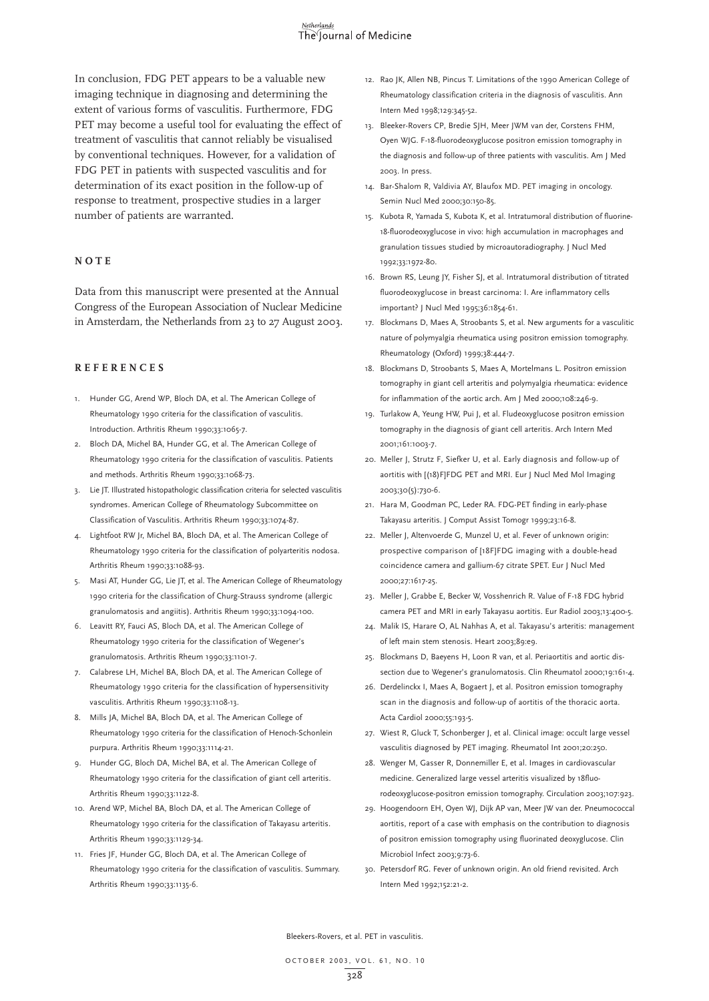In conclusion, FDG PET appears to be a valuable new imaging technique in diagnosing and determining the extent of various forms of vasculitis. Furthermore, FDG PET may become a useful tool for evaluating the effect of treatment of vasculitis that cannot reliably be visualised by conventional techniques. However, for a validation of FDG PET in patients with suspected vasculitis and for determination of its exact position in the follow-up of response to treatment, prospective studies in a larger number of patients are warranted.

### **NOTE**

Data from this manuscript were presented at the Annual Congress of the European Association of Nuclear Medicine in Amsterdam, the Netherlands from 23 to 27 August 2003.

## **REFERENCES**

- 1. Hunder GG, Arend WP, Bloch DA, et al. The American College of Rheumatology 1990 criteria for the classification of vasculitis. Introduction. Arthritis Rheum 1990;33:1065-7.
- 2. Bloch DA, Michel BA, Hunder GG, et al. The American College of Rheumatology 1990 criteria for the classification of vasculitis. Patients and methods. Arthritis Rheum 1990;33:1068-73.
- 3. Lie JT. Illustrated histopathologic classification criteria for selected vasculitis syndromes. American College of Rheumatology Subcommittee on Classification of Vasculitis. Arthritis Rheum 1990;33:1074-87.
- 4. Lightfoot RW Jr, Michel BA, Bloch DA, et al. The American College of Rheumatology 1990 criteria for the classification of polyarteritis nodosa. Arthritis Rheum 1990;33:1088-93.
- 5. Masi AT, Hunder GG, Lie JT, et al. The American College of Rheumatology 1990 criteria for the classification of Churg-Strauss syndrome (allergic granulomatosis and angiitis). Arthritis Rheum 1990;33:1094-100.
- 6. Leavitt RY, Fauci AS, Bloch DA, et al. The American College of Rheumatology 1990 criteria for the classification of Wegener's granulomatosis. Arthritis Rheum 1990;33:1101-7.
- 7. Calabrese LH, Michel BA, Bloch DA, et al. The American College of Rheumatology 1990 criteria for the classification of hypersensitivity vasculitis. Arthritis Rheum 1990;33:1108-13.
- 8. Mills JA, Michel BA, Bloch DA, et al. The American College of Rheumatology 1990 criteria for the classification of Henoch-Schonlein purpura. Arthritis Rheum 1990;33:1114-21.
- 9. Hunder GG, Bloch DA, Michel BA, et al. The American College of Rheumatology 1990 criteria for the classification of giant cell arteritis. Arthritis Rheum 1990;33:1122-8.
- 10. Arend WP, Michel BA, Bloch DA, et al. The American College of Rheumatology 1990 criteria for the classification of Takayasu arteritis. Arthritis Rheum 1990;33:1129-34.
- 11. Fries JF, Hunder GG, Bloch DA, et al. The American College of Rheumatology 1990 criteria for the classification of vasculitis. Summary. Arthritis Rheum 1990;33:1135-6.
- 12. Rao JK, Allen NB, Pincus T. Limitations of the 1990 American College of Rheumatology classification criteria in the diagnosis of vasculitis. Ann Intern Med 1998;129:345-52.
- 13. Bleeker-Rovers CP, Bredie SJH, Meer JWM van der, Corstens FHM, Oyen WJG. F-18-fluorodeoxyglucose positron emission tomography in the diagnosis and follow-up of three patients with vasculitis. Am J Med 2003. In press.
- 14. Bar-Shalom R, Valdivia AY, Blaufox MD. PET imaging in oncology. Semin Nucl Med 2000;30:150-85.
- 15. Kubota R, Yamada S, Kubota K, et al. Intratumoral distribution of fluorine-18-fluorodeoxyglucose in vivo: high accumulation in macrophages and granulation tissues studied by microautoradiography. J Nucl Med 1992;33:1972-80.
- 16. Brown RS, Leung JY, Fisher SJ, et al. Intratumoral distribution of titrated fluorodeoxyglucose in breast carcinoma: I. Are inflammatory cells important? J Nucl Med 1995;36:1854-61.
- 17. Blockmans D, Maes A, Stroobants S, et al. New arguments for a vasculitic nature of polymyalgia rheumatica using positron emission tomography. Rheumatology (Oxford) 1999;38:444-7.
- 18. Blockmans D, Stroobants S, Maes A, Mortelmans L. Positron emission tomography in giant cell arteritis and polymyalgia rheumatica: evidence for inflammation of the aortic arch. Am J Med 2000;108:246-9.
- 19. Turlakow A, Yeung HW, Pui J, et al. Fludeoxyglucose positron emission tomography in the diagnosis of giant cell arteritis. Arch Intern Med 2001;161:1003-7.
- 20. Meller J, Strutz F, Siefker U, et al. Early diagnosis and follow-up of aortitis with [(18)F]FDG PET and MRI. Eur J Nucl Med Mol Imaging 2003;30(5):730-6.
- 21. Hara M, Goodman PC, Leder RA. FDG-PET finding in early-phase Takayasu arteritis. J Comput Assist Tomogr 1999;23:16-8.
- 22. Meller J, Altenvoerde G, Munzel U, et al. Fever of unknown origin: prospective comparison of [18F]FDG imaging with a double-head coincidence camera and gallium-67 citrate SPET. Eur J Nucl Med 2000;27:1617-25.
- 23. Meller J, Grabbe E, Becker W, Vosshenrich R. Value of F-18 FDG hybrid camera PET and MRI in early Takayasu aortitis. Eur Radiol 2003;13:400-5.
- 24. Malik IS, Harare O, AL Nahhas A, et al. Takayasu's arteritis: management of left main stem stenosis. Heart 2003;89:e9.
- 25. Blockmans D, Baeyens H, Loon R van, et al. Periaortitis and aortic dissection due to Wegener's granulomatosis. Clin Rheumatol 2000;19:161-4.
- 26. Derdelinckx I, Maes A, Bogaert J, et al. Positron emission tomography scan in the diagnosis and follow-up of aortitis of the thoracic aorta. Acta Cardiol 2000;55:193-5.
- 27. Wiest R, Gluck T, Schonberger J, et al. Clinical image: occult large vessel vasculitis diagnosed by PET imaging. Rheumatol Int 2001;20:250.
- 28. Wenger M, Gasser R, Donnemiller E, et al. Images in cardiovascular medicine. Generalized large vessel arteritis visualized by 18fluorodeoxyglucose-positron emission tomography. Circulation 2003;107:923.
- 29. Hoogendoorn EH, Oyen WJ, Dijk AP van, Meer JW van der. Pneumococcal aortitis, report of a case with emphasis on the contribution to diagnosis of positron emission tomography using fluorinated deoxyglucose. Clin Microbiol Infect 2003;9:73-6.
- 30. Petersdorf RG. Fever of unknown origin. An old friend revisited. Arch Intern Med 1992;152:21-2.

Bleekers-Rovers, et al. PET in vasculitis.